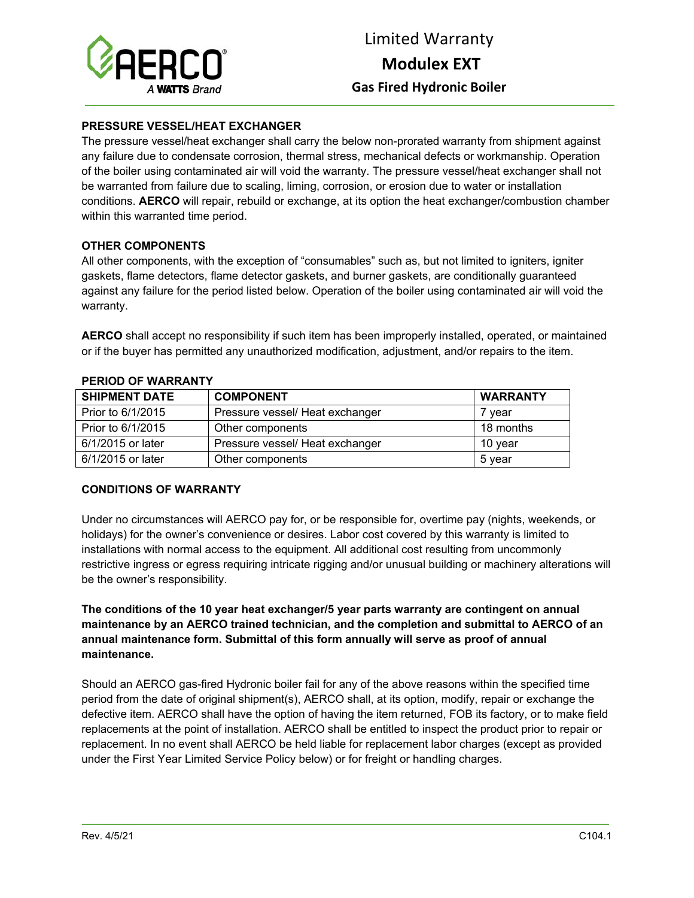

## **PRESSURE VESSEL/HEAT EXCHANGER**

The pressure vessel/heat exchanger shall carry the below non-prorated warranty from shipment against any failure due to condensate corrosion, thermal stress, mechanical defects or workmanship. Operation of the boiler using contaminated air will void the warranty. The pressure vessel/heat exchanger shall not be warranted from failure due to scaling, liming, corrosion, or erosion due to water or installation conditions. **AERCO** will repair, rebuild or exchange, at its option the heat exchanger/combustion chamber within this warranted time period.

# **OTHER COMPONENTS**

All other components, with the exception of "consumables" such as, but not limited to igniters, igniter gaskets, flame detectors, flame detector gaskets, and burner gaskets, are conditionally guaranteed against any failure for the period listed below. Operation of the boiler using contaminated air will void the warranty.

**AERCO** shall accept no responsibility if such item has been improperly installed, operated, or maintained or if the buyer has permitted any unauthorized modification, adjustment, and/or repairs to the item.

| <b>SHIPMENT DATE</b> | <b>COMPONENT</b>                | <b>WARRANTY</b> |
|----------------------|---------------------------------|-----------------|
| Prior to 6/1/2015    | Pressure vessel/ Heat exchanger | ′ vear          |
| Prior to 6/1/2015    | Other components                | 18 months       |
| 6/1/2015 or later    | Pressure vessel/ Heat exchanger | 10 vear         |
| 6/1/2015 or later    | Other components                | 5 vear          |

#### **PERIOD OF WARRANTY**

### **CONDITIONS OF WARRANTY**

Under no circumstances will AERCO pay for, or be responsible for, overtime pay (nights, weekends, or holidays) for the owner's convenience or desires. Labor cost covered by this warranty is limited to installations with normal access to the equipment. All additional cost resulting from uncommonly restrictive ingress or egress requiring intricate rigging and/or unusual building or machinery alterations will be the owner's responsibility.

**The conditions of the 10 year heat exchanger/5 year parts warranty are contingent on annual maintenance by an AERCO trained technician, and the completion and submittal to AERCO of an annual maintenance form. Submittal of this form annually will serve as proof of annual maintenance.** 

Should an AERCO gas-fired Hydronic boiler fail for any of the above reasons within the specified time period from the date of original shipment(s), AERCO shall, at its option, modify, repair or exchange the defective item. AERCO shall have the option of having the item returned, FOB its factory, or to make field replacements at the point of installation. AERCO shall be entitled to inspect the product prior to repair or replacement. In no event shall AERCO be held liable for replacement labor charges (except as provided under the First Year Limited Service Policy below) or for freight or handling charges.